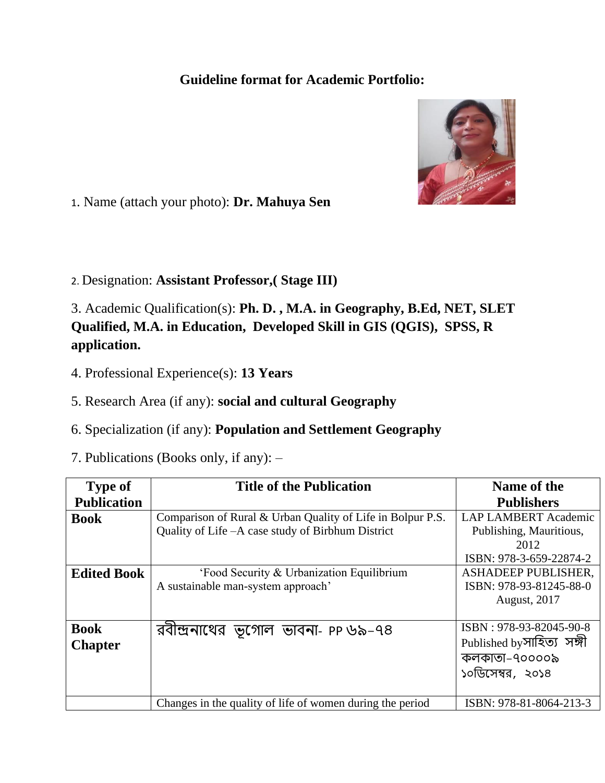## **Guideline format for Academic Portfolio:**



1. Name (attach your photo): **Dr. Mahuya Sen**

2. Designation: **Assistant Professor,( Stage III)**

3. Academic Qualification(s): **Ph. D. , M.A. in Geography, B.Ed, NET, SLET Qualified, M.A. in Education, Developed Skill in GIS (QGIS), SPSS, R application.**

4. Professional Experience(s): **13 Years**

5. Research Area (if any): **social and cultural Geography**

- 6. Specialization (if any): **Population and Settlement Geography**
- 7. Publications (Books only, if any): –

| <b>Type of</b>     | <b>Title of the Publication</b>                            | Name of the                 |
|--------------------|------------------------------------------------------------|-----------------------------|
| <b>Publication</b> |                                                            | <b>Publishers</b>           |
| <b>Book</b>        | Comparison of Rural & Urban Quality of Life in Bolpur P.S. | <b>LAP LAMBERT Academic</b> |
|                    | Quality of Life - A case study of Birbhum District         | Publishing, Mauritious,     |
|                    |                                                            | 2012                        |
|                    |                                                            | ISBN: 978-3-659-22874-2     |
| <b>Edited Book</b> | 'Food Security & Urbanization Equilibrium                  | ASHADEEP PUBLISHER,         |
|                    | A sustainable man-system approach'                         | ISBN: 978-93-81245-88-0     |
|                    |                                                            | <b>August, 2017</b>         |
|                    |                                                            |                             |
| <b>Book</b>        | রবীন্দ্রনাথের ভূগোল ভাবনা- PP ৬৯-৭৪                        | ISBN: 978-93-82045-90-8     |
| <b>Chapter</b>     |                                                            | Published by সাহিত্য সঙ্গী  |
|                    |                                                            | কলকাতা–৭০০০০৯               |
|                    |                                                            | ১০ডিসেম্বর, ২০১৪            |
|                    |                                                            |                             |
|                    | Changes in the quality of life of women during the period  | ISBN: 978-81-8064-213-3     |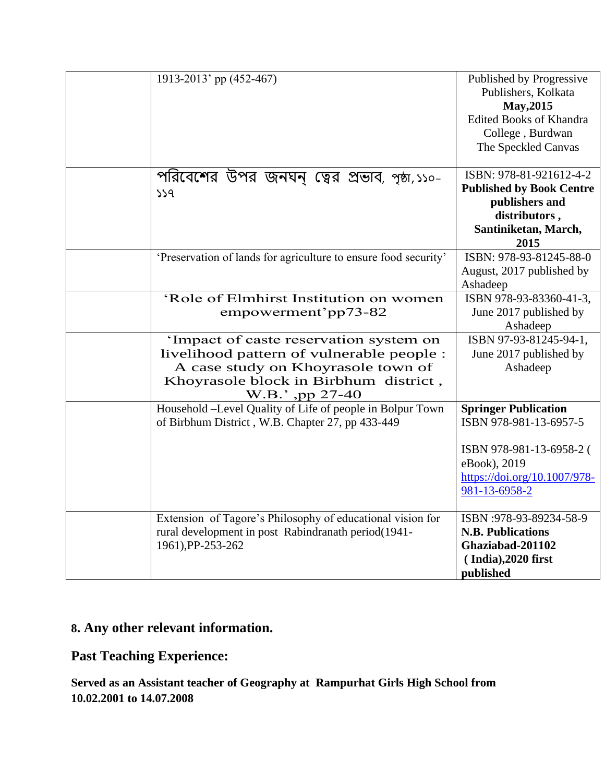| 1913-2013' pp (452-467)                                                                                                                                                               | Published by Progressive<br>Publishers, Kolkata<br>May, 2015<br><b>Edited Books of Khandra</b><br>College, Burdwan<br>The Speckled Canvas          |
|---------------------------------------------------------------------------------------------------------------------------------------------------------------------------------------|----------------------------------------------------------------------------------------------------------------------------------------------------|
| পরিবেশের উপর জনঘন্ ত্বের প্রভাব, পৃষ্ঠা,১১০-<br>559                                                                                                                                   | ISBN: 978-81-921612-4-2<br><b>Published by Book Centre</b><br>publishers and<br>distributors,<br>Santiniketan, March,<br>2015                      |
| 'Preservation of lands for agriculture to ensure food security'                                                                                                                       | ISBN: 978-93-81245-88-0<br>August, 2017 published by<br>Ashadeep                                                                                   |
| 'Role of Elmhirst Institution on women<br>empowerment'pp73-82                                                                                                                         | ISBN 978-93-83360-41-3,<br>June 2017 published by<br>Ashadeep                                                                                      |
| 'Impact of caste reservation system on<br>livelihood pattern of vulnerable people :<br>A case study on Khoyrasole town of<br>Khoyrasole block in Birbhum district,<br>W.B.', pp 27-40 | ISBN 97-93-81245-94-1,<br>June 2017 published by<br>Ashadeep                                                                                       |
| Household -Level Quality of Life of people in Bolpur Town<br>of Birbhum District, W.B. Chapter 27, pp 433-449                                                                         | <b>Springer Publication</b><br>ISBN 978-981-13-6957-5<br>ISBN 978-981-13-6958-2 (<br>eBook), 2019<br>https://doi.org/10.1007/978-<br>981-13-6958-2 |
| Extension of Tagore's Philosophy of educational vision for<br>rural development in post Rabindranath period(1941-<br>1961), PP-253-262                                                | ISBN: 978-93-89234-58-9<br><b>N.B. Publications</b><br>Ghaziabad-201102<br>$( India), 2020$ first<br>published                                     |

## **8. Any other relevant information.**

**Past Teaching Experience:**

**Served as an Assistant teacher of Geography at Rampurhat Girls High School from 10.02.2001 to 14.07.2008**